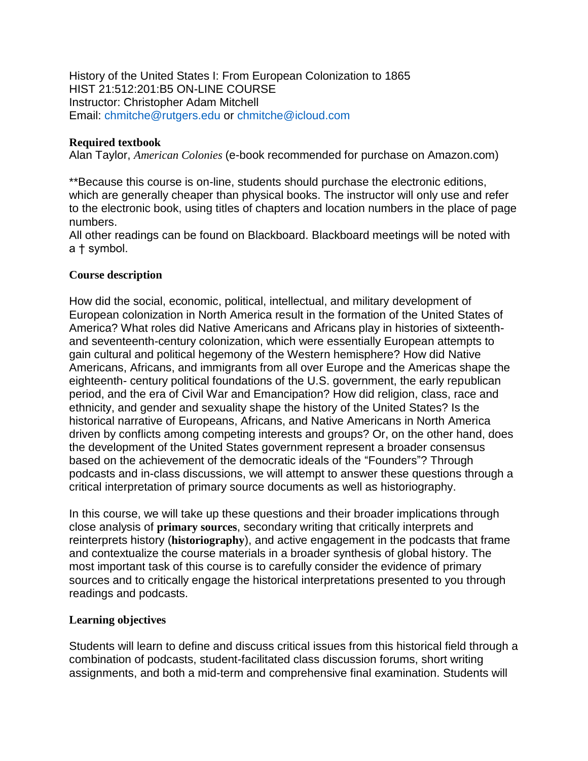History of the United States I: From European Colonization to 1865 HIST 21:512:201:B5 ON-LINE COURSE Instructor: Christopher Adam Mitchell Email: chmitche@rutgers.edu or chmitche@icloud.com

### **Required textbook**

Alan Taylor, *American Colonies* (e-book recommended for purchase on Amazon.com)

\*\*Because this course is on-line, students should purchase the electronic editions, which are generally cheaper than physical books. The instructor will only use and refer to the electronic book, using titles of chapters and location numbers in the place of page numbers.

All other readings can be found on Blackboard. Blackboard meetings will be noted with a † symbol.

### **Course description**

How did the social, economic, political, intellectual, and military development of European colonization in North America result in the formation of the United States of America? What roles did Native Americans and Africans play in histories of sixteenthand seventeenth-century colonization, which were essentially European attempts to gain cultural and political hegemony of the Western hemisphere? How did Native Americans, Africans, and immigrants from all over Europe and the Americas shape the eighteenth- century political foundations of the U.S. government, the early republican period, and the era of Civil War and Emancipation? How did religion, class, race and ethnicity, and gender and sexuality shape the history of the United States? Is the historical narrative of Europeans, Africans, and Native Americans in North America driven by conflicts among competing interests and groups? Or, on the other hand, does the development of the United States government represent a broader consensus based on the achievement of the democratic ideals of the "Founders"? Through podcasts and in-class discussions, we will attempt to answer these questions through a critical interpretation of primary source documents as well as historiography.

In this course, we will take up these questions and their broader implications through close analysis of **primary sources**, secondary writing that critically interprets and reinterprets history (**historiography**), and active engagement in the podcasts that frame and contextualize the course materials in a broader synthesis of global history. The most important task of this course is to carefully consider the evidence of primary sources and to critically engage the historical interpretations presented to you through readings and podcasts.

# **Learning objectives**

Students will learn to define and discuss critical issues from this historical field through a combination of podcasts, student-facilitated class discussion forums, short writing assignments, and both a mid-term and comprehensive final examination. Students will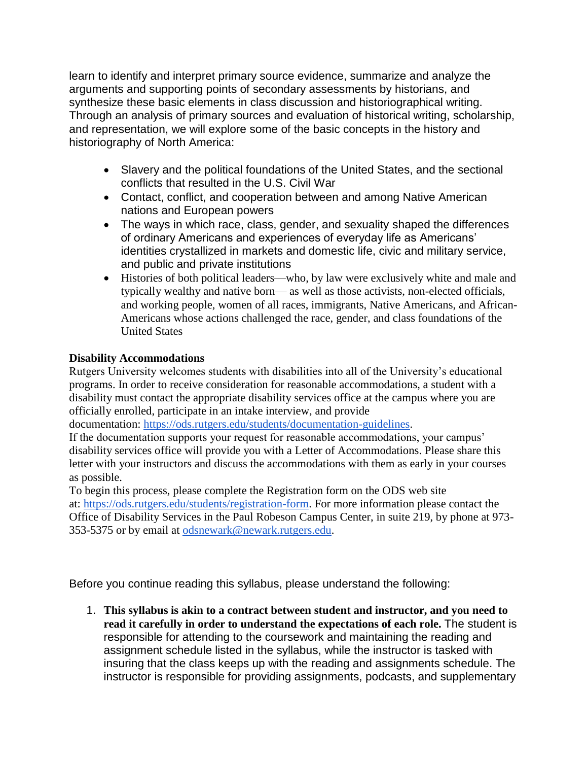learn to identify and interpret primary source evidence, summarize and analyze the arguments and supporting points of secondary assessments by historians, and synthesize these basic elements in class discussion and historiographical writing. Through an analysis of primary sources and evaluation of historical writing, scholarship, and representation, we will explore some of the basic concepts in the history and historiography of North America:

- Slavery and the political foundations of the United States, and the sectional conflicts that resulted in the U.S. Civil War
- Contact, conflict, and cooperation between and among Native American nations and European powers
- The ways in which race, class, gender, and sexuality shaped the differences of ordinary Americans and experiences of everyday life as Americans' identities crystallized in markets and domestic life, civic and military service, and public and private institutions
- Histories of both political leaders—who, by law were exclusively white and male and typically wealthy and native born— as well as those activists, non-elected officials, and working people, women of all races, immigrants, Native Americans, and African-Americans whose actions challenged the race, gender, and class foundations of the United States

# **Disability Accommodations**

Rutgers University welcomes students with disabilities into all of the University's educational programs. In order to receive consideration for reasonable accommodations, a student with a disability must contact the appropriate disability services office at the campus where you are officially enrolled, participate in an intake interview, and provide

documentation: [https://ods.rutgers.edu/students/documentation-guidelines.](https://ods.rutgers.edu/students/documentation-guidelines)

If the documentation supports your request for reasonable accommodations, your campus' disability services office will provide you with a Letter of Accommodations. Please share this letter with your instructors and discuss the accommodations with them as early in your courses as possible.

To begin this process, please complete the Registration form on the ODS web site at: [https://ods.rutgers.edu/students/registration-form.](https://ods.rutgers.edu/students/registration-form) For more information please contact the Office of Disability Services in the Paul Robeson Campus Center, in suite 219, by phone at 973- 353-5375 or by email at [odsnewark@newark.rutgers.edu.](mailto:odsnewark@newark.rutgers.edu)

Before you continue reading this syllabus, please understand the following:

1. **This syllabus is akin to a contract between student and instructor, and you need to read it carefully in order to understand the expectations of each role.** The student is responsible for attending to the coursework and maintaining the reading and assignment schedule listed in the syllabus, while the instructor is tasked with insuring that the class keeps up with the reading and assignments schedule. The instructor is responsible for providing assignments, podcasts, and supplementary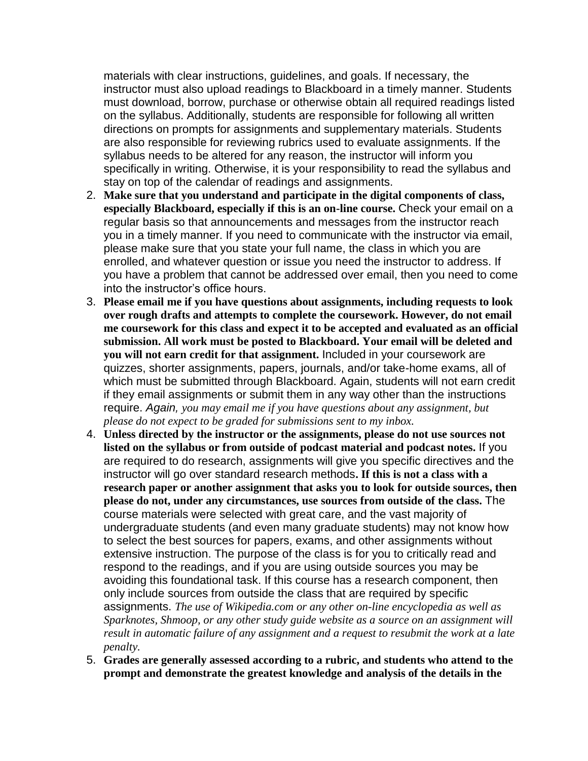materials with clear instructions, guidelines, and goals. If necessary, the instructor must also upload readings to Blackboard in a timely manner. Students must download, borrow, purchase or otherwise obtain all required readings listed on the syllabus. Additionally, students are responsible for following all written directions on prompts for assignments and supplementary materials. Students are also responsible for reviewing rubrics used to evaluate assignments. If the syllabus needs to be altered for any reason, the instructor will inform you specifically in writing. Otherwise, it is your responsibility to read the syllabus and stay on top of the calendar of readings and assignments.

- 2. **Make sure that you understand and participate in the digital components of class, especially Blackboard, especially if this is an on-line course.** Check your email on a regular basis so that announcements and messages from the instructor reach you in a timely manner. If you need to communicate with the instructor via email, please make sure that you state your full name, the class in which you are enrolled, and whatever question or issue you need the instructor to address. If you have a problem that cannot be addressed over email, then you need to come into the instructor's office hours.
- 3. **Please email me if you have questions about assignments, including requests to look over rough drafts and attempts to complete the coursework. However, do not email me coursework for this class and expect it to be accepted and evaluated as an official submission. All work must be posted to Blackboard. Your email will be deleted and you will not earn credit for that assignment.** Included in your coursework are quizzes, shorter assignments, papers, journals, and/or take-home exams, all of which must be submitted through Blackboard. Again, students will not earn credit if they email assignments or submit them in any way other than the instructions require. *Again, you may email me if you have questions about any assignment, but please do not expect to be graded for submissions sent to my inbox.*
- 4. **Unless directed by the instructor or the assignments, please do not use sources not listed on the syllabus or from outside of podcast material and podcast notes.** If you are required to do research, assignments will give you specific directives and the instructor will go over standard research methods**. If this is not a class with a research paper or another assignment that asks you to look for outside sources, then please do not, under any circumstances, use sources from outside of the class.** The course materials were selected with great care, and the vast majority of undergraduate students (and even many graduate students) may not know how to select the best sources for papers, exams, and other assignments without extensive instruction. The purpose of the class is for you to critically read and respond to the readings, and if you are using outside sources you may be avoiding this foundational task. If this course has a research component, then only include sources from outside the class that are required by specific assignments. *The use of Wikipedia.com or any other on-line encyclopedia as well as Sparknotes, Shmoop, or any other study guide website as a source on an assignment will result in automatic failure of any assignment and a request to resubmit the work at a late penalty.*
- 5. **Grades are generally assessed according to a rubric, and students who attend to the prompt and demonstrate the greatest knowledge and analysis of the details in the**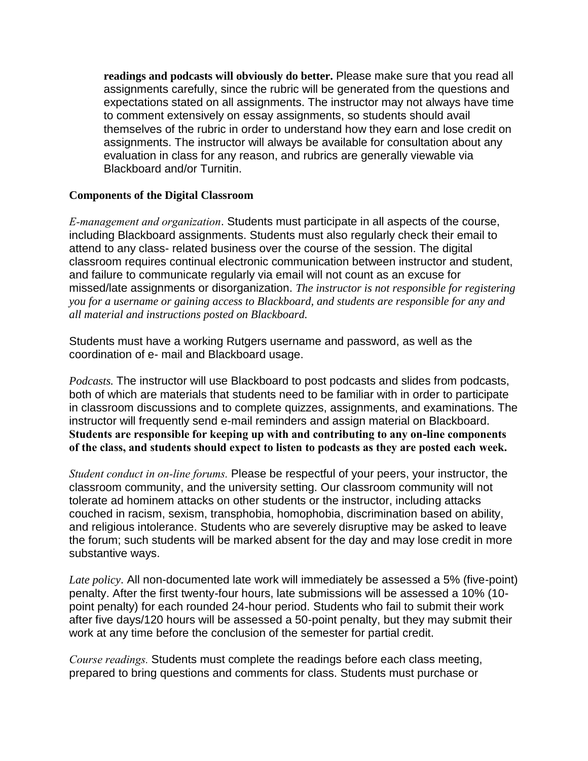**readings and podcasts will obviously do better.** Please make sure that you read all assignments carefully, since the rubric will be generated from the questions and expectations stated on all assignments. The instructor may not always have time to comment extensively on essay assignments, so students should avail themselves of the rubric in order to understand how they earn and lose credit on assignments. The instructor will always be available for consultation about any evaluation in class for any reason, and rubrics are generally viewable via Blackboard and/or Turnitin.

### **Components of the Digital Classroom**

*E-management and organization*. Students must participate in all aspects of the course, including Blackboard assignments. Students must also regularly check their email to attend to any class- related business over the course of the session. The digital classroom requires continual electronic communication between instructor and student, and failure to communicate regularly via email will not count as an excuse for missed/late assignments or disorganization. *The instructor is not responsible for registering you for a username or gaining access to Blackboard, and students are responsible for any and all material and instructions posted on Blackboard.* 

Students must have a working Rutgers username and password, as well as the coordination of e- mail and Blackboard usage.

*Podcasts.* The instructor will use Blackboard to post podcasts and slides from podcasts, both of which are materials that students need to be familiar with in order to participate in classroom discussions and to complete quizzes, assignments, and examinations. The instructor will frequently send e-mail reminders and assign material on Blackboard. **Students are responsible for keeping up with and contributing to any on-line components of the class, and students should expect to listen to podcasts as they are posted each week.** 

*Student conduct in on-line forums.* Please be respectful of your peers, your instructor, the classroom community, and the university setting. Our classroom community will not tolerate ad hominem attacks on other students or the instructor, including attacks couched in racism, sexism, transphobia, homophobia, discrimination based on ability, and religious intolerance. Students who are severely disruptive may be asked to leave the forum; such students will be marked absent for the day and may lose credit in more substantive ways.

*Late policy*. All non-documented late work will immediately be assessed a 5% (five-point) penalty. After the first twenty-four hours, late submissions will be assessed a 10% (10 point penalty) for each rounded 24-hour period. Students who fail to submit their work after five days/120 hours will be assessed a 50-point penalty, but they may submit their work at any time before the conclusion of the semester for partial credit.

*Course readings.* Students must complete the readings before each class meeting, prepared to bring questions and comments for class. Students must purchase or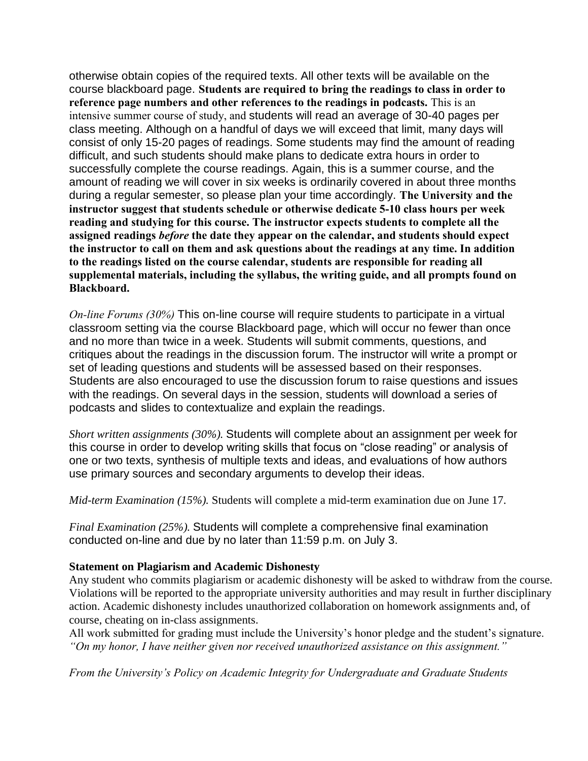otherwise obtain copies of the required texts. All other texts will be available on the course blackboard page. **Students are required to bring the readings to class in order to reference page numbers and other references to the readings in podcasts.** This is an intensive summer course of study, and students will read an average of 30-40 pages per class meeting. Although on a handful of days we will exceed that limit, many days will consist of only 15-20 pages of readings. Some students may find the amount of reading difficult, and such students should make plans to dedicate extra hours in order to successfully complete the course readings. Again, this is a summer course, and the amount of reading we will cover in six weeks is ordinarily covered in about three months during a regular semester, so please plan your time accordingly. **The University and the instructor suggest that students schedule or otherwise dedicate 5-10 class hours per week reading and studying for this course. The instructor expects students to complete all the assigned readings** *before* **the date they appear on the calendar, and students should expect the instructor to call on them and ask questions about the readings at any time. In addition to the readings listed on the course calendar, students are responsible for reading all supplemental materials, including the syllabus, the writing guide, and all prompts found on Blackboard.** 

*On-line Forums (30%)* This on-line course will require students to participate in a virtual classroom setting via the course Blackboard page, which will occur no fewer than once and no more than twice in a week. Students will submit comments, questions, and critiques about the readings in the discussion forum. The instructor will write a prompt or set of leading questions and students will be assessed based on their responses. Students are also encouraged to use the discussion forum to raise questions and issues with the readings. On several days in the session, students will download a series of podcasts and slides to contextualize and explain the readings.

*Short written assignments (30%).* Students will complete about an assignment per week for this course in order to develop writing skills that focus on "close reading" or analysis of one or two texts, synthesis of multiple texts and ideas, and evaluations of how authors use primary sources and secondary arguments to develop their ideas.

*Mid-term Examination (15%).* Students will complete a mid-term examination due on June 17.

*Final Examination (25%).* Students will complete a comprehensive final examination conducted on-line and due by no later than 11:59 p.m. on July 3.

#### **Statement on Plagiarism and Academic Dishonesty**

Any student who commits plagiarism or academic dishonesty will be asked to withdraw from the course. Violations will be reported to the appropriate university authorities and may result in further disciplinary action. Academic dishonesty includes unauthorized collaboration on homework assignments and, of course, cheating on in-class assignments.

All work submitted for grading must include the University's honor pledge and the student's signature. *"On my honor, I have neither given nor received unauthorized assistance on this assignment."*

*From the University's Policy on Academic Integrity for Undergraduate and Graduate Students*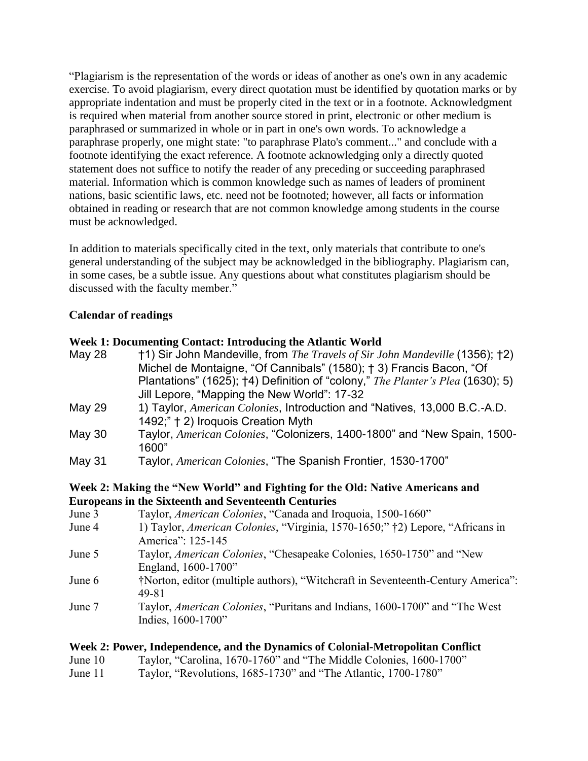"Plagiarism is the representation of the words or ideas of another as one's own in any academic exercise. To avoid plagiarism, every direct quotation must be identified by quotation marks or by appropriate indentation and must be properly cited in the text or in a footnote. Acknowledgment is required when material from another source stored in print, electronic or other medium is paraphrased or summarized in whole or in part in one's own words. To acknowledge a paraphrase properly, one might state: "to paraphrase Plato's comment..." and conclude with a footnote identifying the exact reference. A footnote acknowledging only a directly quoted statement does not suffice to notify the reader of any preceding or succeeding paraphrased material. Information which is common knowledge such as names of leaders of prominent nations, basic scientific laws, etc. need not be footnoted; however, all facts or information obtained in reading or research that are not common knowledge among students in the course must be acknowledged.

In addition to materials specifically cited in the text, only materials that contribute to one's general understanding of the subject may be acknowledged in the bibliography. Plagiarism can, in some cases, be a subtle issue. Any questions about what constitutes plagiarism should be discussed with the faculty member."

### **Calendar of readings**

#### **Week 1: Documenting Contact: Introducing the Atlantic World**

| <b>May 28</b> | †1) Sir John Mandeville, from The Travels of Sir John Mandeville (1356); †2)   |
|---------------|--------------------------------------------------------------------------------|
|               | Michel de Montaigne, "Of Cannibals" (1580); † 3) Francis Bacon, "Of            |
|               | Plantations" (1625); †4) Definition of "colony," The Planter's Plea (1630); 5) |
|               | Jill Lepore, "Mapping the New World": 17-32                                    |
| May 29        | 1) Taylor, American Colonies, Introduction and "Natives, 13,000 B.C.-A.D.      |
|               | 1492;" † 2) Iroquois Creation Myth                                             |
| May 30        | Taylor, American Colonies, "Colonizers, 1400-1800" and "New Spain, 1500-       |
|               | 1600"                                                                          |
| May 31        | Taylor, American Colonies, "The Spanish Frontier, 1530-1700"                   |

#### **Week 2: Making the "New World" and Fighting for the Old: Native Americans and Europeans in the Sixteenth and Seventeenth Centuries**

| Taylor, American Colonies, "Canada and Iroquoia, 1500-1660"                      |
|----------------------------------------------------------------------------------|
| 1) Taylor, American Colonies, "Virginia, 1570-1650;" †2) Lepore, "Africans in    |
| America": 125-145                                                                |
| Taylor, American Colonies, "Chesapeake Colonies, 1650-1750" and "New             |
| England, 1600-1700"                                                              |
| †Norton, editor (multiple authors), "Witchcraft in Seventeenth-Century America": |
| 49-81                                                                            |
| Taylor, American Colonies, "Puritans and Indians, 1600-1700" and "The West       |
| Indies, 1600-1700"                                                               |
|                                                                                  |
|                                                                                  |

### **Week 2: Power, Independence, and the Dynamics of Colonial-Metropolitan Conflict**

- June 10 Taylor, "Carolina, 1670-1760" and "The Middle Colonies, 1600-1700"
- June 11 Taylor, "Revolutions, 1685-1730" and "The Atlantic, 1700-1780"